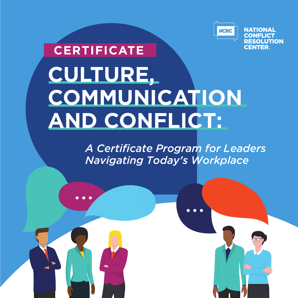

# **CULTURE, COMMUNICATION AND CONFLICT: CERTIFICATE**

 $\bullet$   $\bullet$   $\bullet$ 

*A Certificate Program for Leaders Navigating Today's Workplace*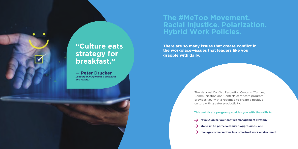### **The #MeToo Movement. Racial Injustice. Polarization. Hybrid Work Policies.**

**There are so many issues that create conflict in the workplace—issues that leaders like you grapple with daily.**

## **"Culture eats strategy for breakfast."**

**— Peter Drucker**  *Leading Management Consultant and Author* 

**This certificate program provides you with the skills to:**

- 
- 
- 

**revolutionize your conflict management strategy;**

**stand up to perceived micro-aggressions; and**

 $\rightarrow$  manage conversations in a polarized work environment.

The National Conflict Resolution Center's "Culture, Communication and Conflict" certificate program provides you with a roadmap to create a positive culture with greater productivity.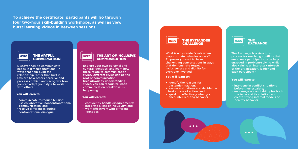**To achieve the certificate, participants will go through four two-hour skill-building workshops, as well as view burst learning videos in between sessions.**



### **THE ARTFUL CONVERSATION**

Discover how to communicate needs in difficult situations—in ways that help build the relationship rather than hurt it. Explore how others perceive and process conflict, and recognize how you can adapt your style to work with others.

#### You will learn to:

- communicate to reduce tension;
- use collaborative, nonconfrontational communication; and
- resolve differences during confrontational dialogue.



#### THE ART OF INCLUSIVE **COMMUNICATION**

Explore your own personal and cultural identities, and learn how these relate to communication styles. Different styles can be the root of communication breakdown; by understanding styles, you can recognize when communication breakdown is happening.

#### You will learn to:

- intervene in conflict situations before they escalate;
- encourage accountability for both the issue and its solution; and
- create strong internal models of healthy behavior.

 $\bullet\bullet\bullet$ 

- confidently handle disagreements;
- integrate a lens of inclusivity; and
- work effectively with different identities.



#### **THE BYSTANDER CHALLENGE**

What is a bystander's role when inappropriate behavior occurs? Empower yourself to have challenging conversations in ways that demonstrate respect, inclusiveness and dignity for everyone involved.

#### You will learn to:

- identify the reasons for bystander inaction;
- evaluate situations and decide the best course of action; and
- speak up effectively when you encounter red-flag behavior.





The Exchange is a structured process for resolving conflicts that empowers participants to be fully engaged in problem-solving while also valuing all interests (interests of the organization, leader and each participant).

#### You will learn to: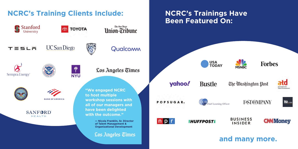### **and many more.**







### The Washington Post



### **FAST GMPANY**



**BUSINESS INSIDER**